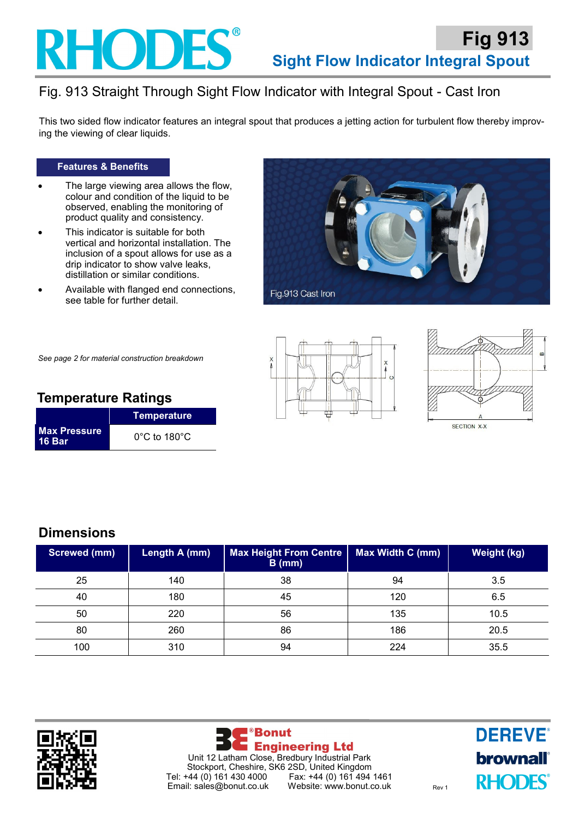## **RHODES**

## Fig. 913 Straight Through Sight Flow Indicator with Integral Spout - Cast Iron

This two sided flow indicator features an integral spout that produces a jetting action for turbulent flow thereby improving the viewing of clear liquids.

### **Features & Benefits**

- The large viewing area allows the flow, colour and condition of the liquid to be observed, enabling the monitoring of product quality and consistency.
- This indicator is suitable for both vertical and horizontal installation. The inclusion of a spout allows for use as a drip indicator to show valve leaks, distillation or similar conditions.
- Available with flanged end connections, see table for further detail.







*See page 2 for material construction breakdown*

## **Temperature Ratings**

|                                      | <b>Temperature</b>                |  |
|--------------------------------------|-----------------------------------|--|
| <b>Max Pressure</b><br><b>16 Bar</b> | $0^{\circ}$ C to 180 $^{\circ}$ C |  |

## **Dimensions**

| <b>Screwed (mm)</b> | Length A (mm) | <b>Max Height From Centre</b><br>$B$ (mm) | Max Width C (mm) | Weight (kg) |
|---------------------|---------------|-------------------------------------------|------------------|-------------|
| 25                  | 140           | 38                                        | 94               | 3.5         |
| 40                  | 180           | 45                                        | 120              | 6.5         |
| 50                  | 220           | 56                                        | 135              | 10.5        |
| 80                  | 260           | 86                                        | 186              | 20.5        |
| 100                 | 310           | 94                                        | 224              | 35.5        |